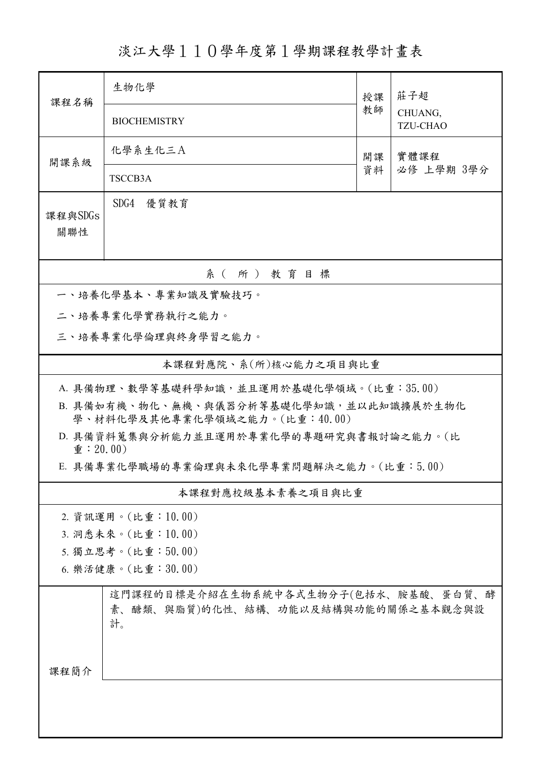淡江大學110學年度第1學期課程教學計畫表

| 課程名稱                                                                      | 生物化學                                                                              | 授課         | 莊子超<br>CHUANG,<br><b>TZU-CHAO</b> |  |  |  |  |
|---------------------------------------------------------------------------|-----------------------------------------------------------------------------------|------------|-----------------------------------|--|--|--|--|
|                                                                           | <b>BIOCHEMISTRY</b>                                                               | 教師         |                                   |  |  |  |  |
| 開課系級                                                                      | 化學系生化三A                                                                           | 實體課程<br>開課 |                                   |  |  |  |  |
|                                                                           | TSCCB3A                                                                           | 資料         | 必修 上學期 3學分                        |  |  |  |  |
| 課程與SDGs<br>關聯性                                                            | SDG4 優質教育                                                                         |            |                                   |  |  |  |  |
| 系(所)教育目標                                                                  |                                                                                   |            |                                   |  |  |  |  |
|                                                                           | 一、培養化學基本、專業知識及實驗技巧。                                                               |            |                                   |  |  |  |  |
|                                                                           | 二、培養專業化學實務執行之能力。                                                                  |            |                                   |  |  |  |  |
| 三、培養專業化學倫理與終身學習之能力。                                                       |                                                                                   |            |                                   |  |  |  |  |
| 本課程對應院、系(所)核心能力之項目與比重                                                     |                                                                                   |            |                                   |  |  |  |  |
| A. 具備物理、數學等基礎科學知識,並且運用於基礎化學領域。(比重:35.00)                                  |                                                                                   |            |                                   |  |  |  |  |
| B. 具備如有機、物化、無機、與儀器分析等基礎化學知識,並以此知識擴展於生物化<br>學、材料化學及其他專業化學領域之能力。(比重:40.00)  |                                                                                   |            |                                   |  |  |  |  |
| D. 具備資料蒐集與分析能力並且運用於專業化學的專題研究與書報討論之能力。(比<br>$\hat{\mathbf{\Phi}}$ : 20.00) |                                                                                   |            |                                   |  |  |  |  |
|                                                                           | E. 具備專業化學職場的專業倫理與未來化學專業問題解決之能力。(比重:5.00)                                          |            |                                   |  |  |  |  |
|                                                                           | 本課程對應校級基本素養之項目與比重                                                                 |            |                                   |  |  |  |  |
|                                                                           | 2. 資訊運用。(比重:10.00)                                                                |            |                                   |  |  |  |  |
| 3. 洞悉未來。(比重:10.00)                                                        |                                                                                   |            |                                   |  |  |  |  |
| 5. 獨立思考。(比重:50.00)                                                        |                                                                                   |            |                                   |  |  |  |  |
| 6. 樂活健康。(比重:30.00)                                                        |                                                                                   |            |                                   |  |  |  |  |
|                                                                           | 這門課程的目標是介紹在生物系統中各式生物分子(包括水、胺基酸、蛋白質、酵<br>素、醣類、與脂質)的化性、結構、功能以及結構與功能的關係之基本觀念與設<br>計。 |            |                                   |  |  |  |  |
| 課程簡介                                                                      |                                                                                   |            |                                   |  |  |  |  |
|                                                                           |                                                                                   |            |                                   |  |  |  |  |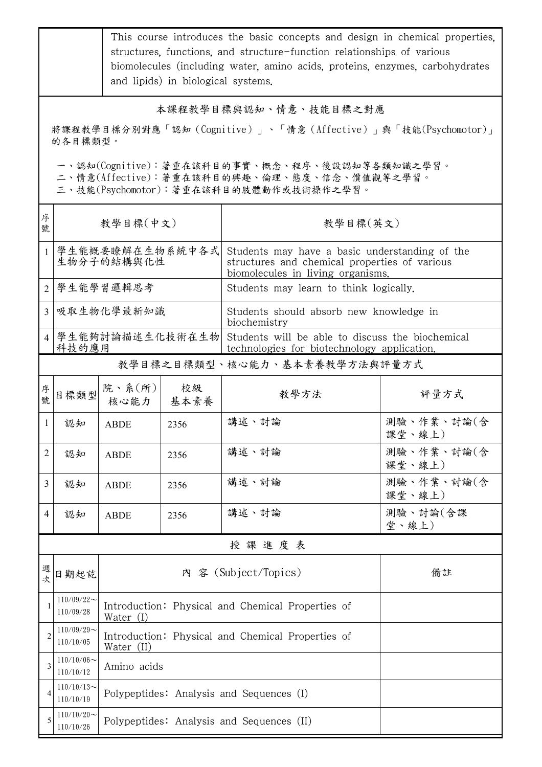|                                                                                                                                        | This course introduces the basic concepts and design in chemical properties,<br>structures, functions, and structure-function relationships of various<br>biomolecules (including water, amino acids, proteins, enzymes, carbohydrates<br>and lipids) in biological systems. |                               |                                                   |                                                                                                                                      |                                        |  |  |  |
|----------------------------------------------------------------------------------------------------------------------------------------|------------------------------------------------------------------------------------------------------------------------------------------------------------------------------------------------------------------------------------------------------------------------------|-------------------------------|---------------------------------------------------|--------------------------------------------------------------------------------------------------------------------------------------|----------------------------------------|--|--|--|
| 本課程教學目標與認知、情意、技能目標之對應<br>將課程教學目標分別對應「認知 (Cognitive)」、「情意 (Affective)」與「技能(Psychomotor)」<br>的各目標類型。                                     |                                                                                                                                                                                                                                                                              |                               |                                                   |                                                                                                                                      |                                        |  |  |  |
| 一、認知(Cognitive):著重在該科目的事實、概念、程序、後設認知等各類知識之學習。<br>二、情意(Affective):著重在該科目的興趣、倫理、態度、信念、價值觀等之學習。<br>三、技能(Psychomotor):著重在該科目的肢體動作或技術操作之學習。 |                                                                                                                                                                                                                                                                              |                               |                                                   |                                                                                                                                      |                                        |  |  |  |
| 序<br>號                                                                                                                                 | 教學目標(中文)                                                                                                                                                                                                                                                                     |                               |                                                   | 教學目標(英文)                                                                                                                             |                                        |  |  |  |
| 1                                                                                                                                      |                                                                                                                                                                                                                                                                              | 學生能概要瞭解在生物系統中各式<br>生物分子的結構與化性 |                                                   | Students may have a basic understanding of the<br>structures and chemical properties of various<br>biomolecules in living organisms. |                                        |  |  |  |
|                                                                                                                                        |                                                                                                                                                                                                                                                                              | 2 學生能學習邏輯思考                   |                                                   |                                                                                                                                      | Students may learn to think logically. |  |  |  |
| 3                                                                                                                                      |                                                                                                                                                                                                                                                                              | 吸取生物化學最新知識                    |                                                   | Students should absorb new knowledge in<br>biochemistry                                                                              |                                        |  |  |  |
|                                                                                                                                        | 科技的應用                                                                                                                                                                                                                                                                        | 4   學生能夠討論描述生化技術在生物           |                                                   | Students will be able to discuss the biochemical<br>technologies for biotechnology application.                                      |                                        |  |  |  |
| 教學目標之目標類型、核心能力、基本素養教學方法與評量方式                                                                                                           |                                                                                                                                                                                                                                                                              |                               |                                                   |                                                                                                                                      |                                        |  |  |  |
| 序<br>號                                                                                                                                 | 目標類型                                                                                                                                                                                                                                                                         | 院、系 $(\kappa)$<br>核心能力        | 校級<br>基本素養                                        | 教學方法                                                                                                                                 | 評量方式                                   |  |  |  |
| 1                                                                                                                                      | 認知                                                                                                                                                                                                                                                                           | <b>ABDE</b>                   | 2356                                              | 講述、討論                                                                                                                                | 測驗、作業、討論(含<br>課堂、線上)                   |  |  |  |
| $\overline{2}$                                                                                                                         | 認知                                                                                                                                                                                                                                                                           | <b>ABDE</b>                   | 2356                                              | 講述、討論                                                                                                                                | 測驗、作業、討論(含<br>課堂、線上)                   |  |  |  |
| 3                                                                                                                                      | 認知                                                                                                                                                                                                                                                                           | <b>ABDE</b>                   | 2356                                              | 講述、討論                                                                                                                                | 測驗、作業、討論(含<br>課堂、線上)                   |  |  |  |
| 4                                                                                                                                      | 認知                                                                                                                                                                                                                                                                           | <b>ABDE</b>                   | 2356                                              | 講述、討論                                                                                                                                | 測驗、討論(含課<br>堂、線上)                      |  |  |  |
|                                                                                                                                        |                                                                                                                                                                                                                                                                              |                               |                                                   | 授課進度表                                                                                                                                |                                        |  |  |  |
| 週<br>次                                                                                                                                 | 日期起訖                                                                                                                                                                                                                                                                         | 內 容 (Subject/Topics)          |                                                   |                                                                                                                                      | 備註                                     |  |  |  |
| 1                                                                                                                                      | $110/09/22$ ~<br>110/09/28                                                                                                                                                                                                                                                   | Water (I)                     | Introduction: Physical and Chemical Properties of |                                                                                                                                      |                                        |  |  |  |
| $\overline{2}$                                                                                                                         | $110/09/29$ ~<br>110/10/05                                                                                                                                                                                                                                                   | Water (II)                    | Introduction: Physical and Chemical Properties of |                                                                                                                                      |                                        |  |  |  |
| 3                                                                                                                                      | $110/10/06 \sim$<br>110/10/12                                                                                                                                                                                                                                                | Amino acids                   |                                                   |                                                                                                                                      |                                        |  |  |  |
| 4                                                                                                                                      | $110/10/13$ ~<br>110/10/19                                                                                                                                                                                                                                                   |                               | Polypeptides: Analysis and Sequences (I)          |                                                                                                                                      |                                        |  |  |  |
| 5                                                                                                                                      | $110/10/20$ ~<br>110/10/26                                                                                                                                                                                                                                                   |                               | Polypeptides: Analysis and Sequences (II)         |                                                                                                                                      |                                        |  |  |  |